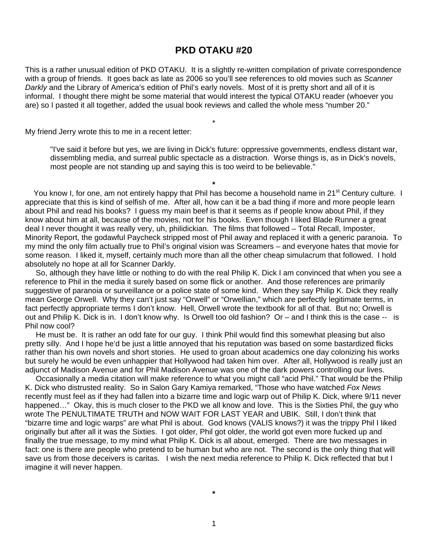# **PKD OTAKU #20**

This is a rather unusual edition of PKD OTAKU. It is a slightly re-written compilation of private correspondence with a group of friends. It goes back as late as 2006 so you'll see references to old movies such as *Scanner Darkly* and the Library of America's edition of Phil's early novels. Most of it is pretty short and all of it is informal. I thought there might be some material that would interest the typical OTAKU reader (whoever you are) so I pasted it all together, added the usual book reviews and called the whole mess "number 20."

\*

My friend Jerry wrote this to me in a recent letter:

"I've said it before but yes, we are living in Dick's future: oppressive governments, endless distant war, dissembling media, and surreal public spectacle as a distraction. Worse things is, as in Dick's novels, most people are not standing up and saying this is too weird to be believable."

You know I, for one, am not entirely happy that Phil has become a household name in 21<sup>st</sup> Century culture. I appreciate that this is kind of selfish of me. After all, how can it be a bad thing if more and more people learn about Phil and read his books? I guess my main beef is that it seems as if people know about Phil, if they know about him at all, because of the movies, not for his books. Even though I liked Blade Runner a great deal I never thought it was really very, uh, philidickian. The films that followed – Total Recall, Imposter, Minority Report, the godawful Paycheck stripped most of Phil away and replaced it with a generic paranoia. To my mind the only film actually true to Phil's original vision was Screamers – and everyone hates that movie for some reason. I liked it, myself, certainly much more than all the other cheap simulacrum that followed. I hold absolutely no hope at all for Scanner Darkly.

**\*** 

 So, although they have little or nothing to do with the real Philip K. Dick I am convinced that when you see a reference to Phil in the media it surely based on some flick or another. And those references are primarily suggestive of paranoia or surveillance or a police state of some kind. When they say Philip K. Dick they really mean George Orwell. Why they can't just say "Orwell" or "Orwellian," which are perfectly legitimate terms, in fact perfectly appropriate terms I don't know. Hell, Orwell wrote the textbook for all of that. But no; Orwell is out and Philip K. Dick is in. I don't know why. Is Orwell too old fashion? Or – and I think this is the case -- is Phil now cool?

 He must be. It is rather an odd fate for our guy. I think Phil would find this somewhat pleasing but also pretty silly. And I hope he'd be just a little annoyed that his reputation was based on some bastardized flicks rather than his own novels and short stories. He used to groan about academics one day colonizing his works but surely he would be even unhappier that Hollywood had taken him over. After all, Hollywood is really just an adjunct of Madison Avenue and for Phil Madison Avenue was one of the dark powers controlling our lives.

 Occasionally a media citation will make reference to what you might call "acid Phil." That would be the Philip K. Dick who distrusted reality. So in Salon Gary Kamiya remarked, "Those who have watched *Fox News* recently must feel as if they had fallen into a bizarre time and logic warp out of Philip K. Dick, where 9/11 never happened..." Okay, this is much closer to the PKD we all know and love. This is the Sixties Phil, the guy who wrote The PENULTIMATE TRUTH and NOW WAIT FOR LAST YEAR and UBIK. Still, I don't think that "bizarre time and logic warps" are what Phil is about. God knows (VALIS knows?) it was the trippy Phil I liked originally but after all it was the Sixties. I got older, Phil got older, the world got even more fucked up and finally the true message, to my mind what Philip K. Dick is all about, emerged. There are two messages in fact: one is there are people who pretend to be human but who are not. The second is the only thing that will save us from those deceivers is caritas. I wish the next media reference to Philip K. Dick reflected that but I imagine it will never happen.

**\***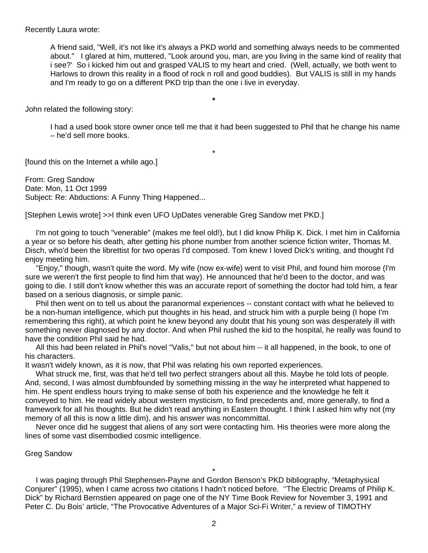#### Recently Laura wrote:

A friend said, "Well, it's not like it's always a PKD world and something always needs to be commented about." I glared at him, muttered, "Look around you, man, are you living in the same kind of reality that i see?' So i kicked him out and grasped VALIS to my heart and cried. (Well, actually, we both went to Harlows to drown this reality in a flood of rock n roll and good buddies). But VALIS is still in my hands and I'm ready to go on a different PKD trip than the one i live in everyday.

John related the following story:

I had a used book store owner once tell me that it had been suggested to Phil that he change his name – he'd sell more books.

**\*** 

\*

[found this on the Internet a while ago.]

From: Greg Sandow Date: Mon, 11 Oct 1999 Subject: Re: Abductions: A Funny Thing Happened...

[Stephen Lewis wrote] >>I think even UFO UpDates venerable Greg Sandow met PKD.]

 I'm not going to touch "venerable" (makes me feel old!), but I did know Philip K. Dick. I met him in California a year or so before his death, after getting his phone number from another science fiction writer, Thomas M. Disch, who'd been the librettist for two operas I'd composed. Tom knew I loved Dick's writing, and thought I'd enjoy meeting him.

 "Enjoy," though, wasn't quite the word. My wife (now ex-wife) went to visit Phil, and found him morose (I'm sure we weren't the first people to find him that way). He announced that he'd been to the doctor, and was going to die. I still don't know whether this was an accurate report of something the doctor had told him, a fear based on a serious diagnosis, or simple panic.

 Phil then went on to tell us about the paranormal experiences -- constant contact with what he believed to be a non-human intelligence, which put thoughts in his head, and struck him with a purple being (I hope I'm remembering this right), at which point he knew beyond any doubt that his young son was desperately ill with something never diagnosed by any doctor. And when Phil rushed the kid to the hospital, he really was found to have the condition Phil said he had.

 All this had been related in Phil's novel "Valis," but not about him -- it all happened, in the book, to one of his characters.

It wasn't widely known, as it is now, that Phil was relating his own reported experiences.

 What struck me, first, was that he'd tell two perfect strangers about all this. Maybe he told lots of people. And, second, I was almost dumbfounded by something missing in the way he interpreted what happened to him. He spent endless hours trying to make sense of both his experience and the knowledge he felt it conveyed to him. He read widely about western mysticism, to find precedents and, more generally, to find a framework for all his thoughts. But he didn't read anything in Eastern thought. I think I asked him why not (my memory of all this is now a little dim), and his answer was noncommittal.

 Never once did he suggest that aliens of any sort were contacting him. His theories were more along the lines of some vast disembodied cosmic intelligence.

#### Greg Sandow

\* I was paging through Phil Stephensen-Payne and Gordon Benson's PKD bibliography, "Metaphysical Conjurer" (1995), when I came across two citations I hadn't noticed before. ''The Electric Dreams of Philip K. Dick" by Richard Bernstien appeared on page one of the NY Time Book Review for November 3, 1991 and Peter C. Du Bois' article, "The Provocative Adventures of a Major Sci-Fi Writer," a review of TIMOTHY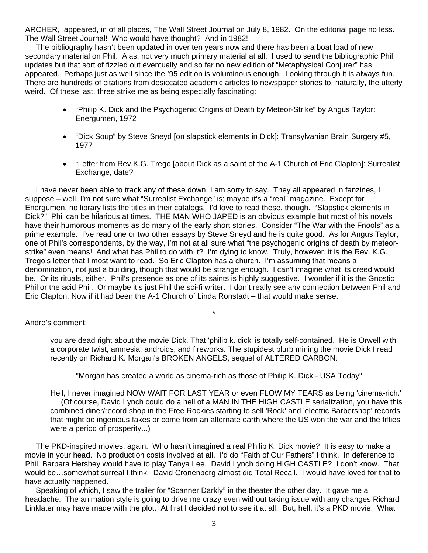ARCHER, appeared, in of all places, The Wall Street Journal on July 8, 1982. On the editorial page no less. The Wall Street Journal! Who would have thought? And in 1982!

 The bibliography hasn't been updated in over ten years now and there has been a boat load of new secondary material on Phil. Alas, not very much primary material at all. I used to send the bibliographic Phil updates but that sort of fizzled out eventually and so far no new edition of "Metaphysical Conjurer" has appeared. Perhaps just as well since the '95 edition is voluminous enough. Looking through it is always fun. There are hundreds of citations from desiccated academic articles to newspaper stories to, naturally, the utterly weird. Of these last, three strike me as being especially fascinating:

- "Philip K. Dick and the Psychogenic Origins of Death by Meteor-Strike" by Angus Taylor: Energumen, 1972
- "Dick Soup" by Steve Sneyd [on slapstick elements in Dick]: Transylvanian Brain Surgery #5, 1977
- "Letter from Rev K.G. Trego [about Dick as a saint of the A-1 Church of Eric Clapton]: Surrealist Exchange, date?

 I have never been able to track any of these down, I am sorry to say. They all appeared in fanzines, I suppose – well, I'm not sure what "Surrealist Exchange" is; maybe it's a "real" magazine. Except for Energumen, no library lists the titles in their catalogs. I'd love to read these, though. "Slapstick elements in Dick?" Phil can be hilarious at times. THE MAN WHO JAPED is an obvious example but most of his novels have their humorous moments as do many of the early short stories. Consider "The War with the Fnools" as a prime example. I've read one or two other essays by Steve Sneyd and he is quite good. As for Angus Taylor, one of Phil's correspondents, by the way, I'm not at all sure what "the psychogenic origins of death by meteorstrike" even means! And what has Phil to do with it? I'm dying to know. Truly, however, it is the Rev. K.G. Trego's letter that I most want to read. So Eric Clapton has a church. I'm assuming that means a denomination, not just a building, though that would be strange enough. I can't imagine what its creed would be. Or its rituals, either. Phil's presence as one of its saints is highly suggestive. I wonder if it is the Gnostic Phil or the acid Phil. Or maybe it's just Phil the sci-fi writer. I don't really see any connection between Phil and Eric Clapton. Now if it had been the A-1 Church of Linda Ronstadt – that would make sense.

\*

## Andre's comment:

you are dead right about the movie Dick. That 'philip k. dick' is totally self-contained. He is Orwell with a corporate twist, amnesia, androids, and fireworks. The stupidest blurb mining the movie Dick I read recently on Richard K. Morgan's BROKEN ANGELS, sequel of ALTERED CARBON:

"Morgan has created a world as cinema-rich as those of Philip K. Dick - USA Today"

Hell, I never imagined NOW WAIT FOR LAST YEAR or even FLOW MY TEARS as being 'cinema-rich.' (Of course, David Lynch could do a hell of a MAN IN THE HIGH CASTLE serialization, you have this combined diner/record shop in the Free Rockies starting to sell 'Rock' and 'electric Barbershop' records that might be ingenious fakes or come from an alternate earth where the US won the war and the fifties were a period of prosperity...)

 The PKD-inspired movies, again. Who hasn't imagined a real Philip K. Dick movie? It is easy to make a movie in your head. No production costs involved at all. I'd do "Faith of Our Fathers" I think. In deference to Phil, Barbara Hershey would have to play Tanya Lee. David Lynch doing HIGH CASTLE? I don't know. That would be…somewhat surreal I think. David Cronenberg almost did Total Recall. I would have loved for that to have actually happened.

 Speaking of which, I saw the trailer for "Scanner Darkly" in the theater the other day. It gave me a headache. The animation style is going to drive me crazy even without taking issue with any changes Richard Linklater may have made with the plot. At first I decided not to see it at all. But, hell, it's a PKD movie. What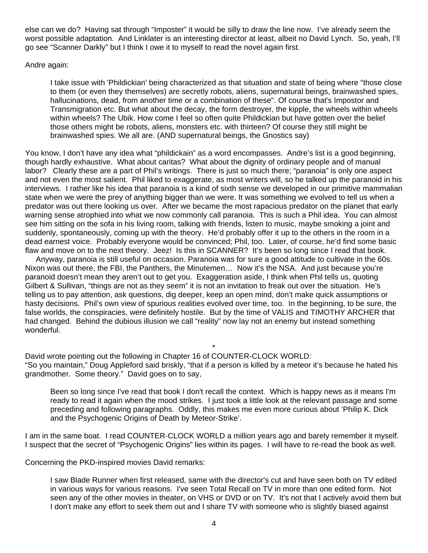else can we do? Having sat through "Imposter" it would be silly to draw the line now. I've already seem the worst possible adaptation. And Linklater is an interesting director at least, albeit no David Lynch. So, yeah, I'll go see "Scanner Darkly" but I think I owe it to myself to read the novel again first.

## Andre again:

I take issue with 'Phildickian' being characterized as that situation and state of being where "those close to them (or even they themselves) are secretly robots, aliens, supernatural beings, brainwashed spies, hallucinations, dead, from another time or a combination of these". Of course that's Impostor and Transmigration etc. But what about the decay, the form destroyer, the kipple, the wheels within wheels within wheels? The Ubik. How come I feel so often quite Phildickian but have gotten over the belief those others might be robots, aliens, monsters etc. with thirteen? Of course they still might be brainwashed spies. We all are. (AND supernatural beings, the Gnostics say)

You know, I don't have any idea what "phildickain" as a word encompasses. Andre's list is a good beginning, though hardly exhaustive. What about caritas? What about the dignity of ordinary people and of manual labor? Clearly these are a part of Phil's writings. There is just so much there; "paranoia" is only one aspect and not even the most salient. Phil liked to exaggerate, as most writers will, so he talked up the paranoid in his interviews. I rather like his idea that paranoia is a kind of sixth sense we developed in our primitive mammalian state when we were the prey of anything bigger than we were. It was something we evolved to tell us when a predator was out there looking us over. After we became the most rapacious predator on the planet that early warning sense atrophied into what we now commonly call paranoia. This is such a Phil idea. You can almost see him sitting on the sofa in his living room, talking with friends, listen to music, maybe smoking a joint and suddenly, spontaneously, coming up with the theory. He'd probably offer it up to the others in the room in a dead earnest voice. Probably everyone would be convinced; Phil, too. Later, of course, he'd find some basic flaw and move on to the next theory. Jeez! Is this in SCANNER? It's been so long since I read that book.

 Anyway, paranoia is still useful on occasion. Paranoia was for sure a good attitude to cultivate in the 60s. Nixon was out there, the FBI, the Panthers, the Minutemen… Now it's the NSA. And just because you're paranoid doesn't mean they aren't out to get you. Exaggeration aside, I think when Phil tells us, quoting Gilbert & Sullivan, "things are not as they seem" it is not an invitation to freak out over the situation. He's telling us to pay attention, ask questions, dig deeper, keep an open mind, don't make quick assumptions or hasty decisions. Phil's own view of spurious realities evolved over time, too. In the beginning, to be sure, the false worlds, the conspiracies, were definitely hostile. But by the time of VALIS and TIMOTHY ARCHER that had changed. Behind the dubious illusion we call "reality" now lay not an enemy but instead something wonderful.

David wrote pointing out the following in Chapter 16 of COUNTER-CLOCK WORLD: "So you maintain," Doug Appleford said briskly, "that if a person is killed by a meteor it's because he hated his grandmother. Some theory." David goes on to say,

\*

Been so long since I've read that book I don't recall the context. Which is happy news as it means I'm ready to read it again when the mood strikes. I just took a little look at the relevant passage and some preceding and following paragraphs. Oddly, this makes me even more curious about 'Philip K. Dick and the Psychogenic Origins of Death by Meteor-Strike'.

I am in the same boat. I read COUNTER-CLOCK WORLD a million years ago and barely remember it myself. I suspect that the secret of "Psychogenic Origins" lies within its pages. I will have to re-read the book as well.

Concerning the PKD-inspired movies David remarks:

I saw Blade Runner when first released, same with the director's cut and have seen both on TV edited in various ways for various reasons. I've seen Total Recall on TV in more than one edited form. Not seen any of the other movies in theater, on VHS or DVD or on TV. It's not that I actively avoid them but I don't make any effort to seek them out and I share TV with someone who is slightly biased against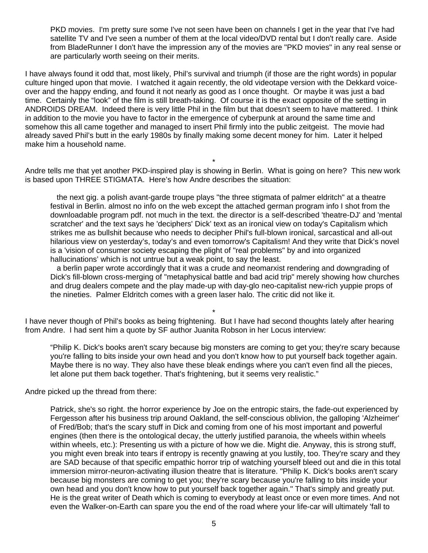PKD movies. I'm pretty sure some I've not seen have been on channels I get in the year that I've had satellite TV and I've seen a number of them at the local video/DVD rental but I don't really care. Aside from BladeRunner I don't have the impression any of the movies are "PKD movies" in any real sense or are particularly worth seeing on their merits.

I have always found it odd that, most likely, Phil's survival and triumph (if those are the right words) in popular culture hinged upon that movie. I watched it again recently, the old videotape version with the Dekkard voiceover and the happy ending, and found it not nearly as good as I once thought. Or maybe it was just a bad time. Certainly the "look" of the film is still breath-taking. Of course it is the exact opposite of the setting in ANDROIDS DREAM. Indeed there is very little Phil in the film but that doesn't seem to have mattered. I think in addition to the movie you have to factor in the emergence of cyberpunk at around the same time and somehow this all came together and managed to insert Phil firmly into the public zeitgeist. The movie had already saved Phil's butt in the early 1980s by finally making some decent money for him. Later it helped make him a household name.

\* Andre tells me that yet another PKD-inspired play is showing in Berlin. What is going on here? This new work is based upon THREE STIGMATA. Here's how Andre describes the situation:

 the next gig. a polish avant-garde troupe plays "the three stigmata of palmer eldritch" at a theatre festival in Berlin. almost no info on the web except the attached german program info I shot from the downloadable program pdf. not much in the text. the director is a self-described 'theatre-DJ' and 'mental scratcher' and the text says he 'deciphers' Dick' text as an ironical view on today's Capitalism which strikes me as bullshit because who needs to decipher Phil's full-blown ironical, sarcastical and all-out hilarious view on yesterday's, today's and even tomorrow's Capitalism! And they write that Dick's novel is a 'vision of consumer society escaping the plight of "real problems" by and into organized hallucinations' which is not untrue but a weak point, to say the least.

 a berlin paper wrote accordingly that it was a crude and neomarxist rendering and downgrading of Dick's fill-blown cross-merging of "metaphysical battle and bad acid trip" merely showing how churches and drug dealers compete and the play made-up with day-glo neo-capitalist new-rich yuppie props of the nineties. Palmer Eldritch comes with a green laser halo. The critic did not like it.

\* I have never though of Phil's books as being frightening. But I have had second thoughts lately after hearing from Andre. I had sent him a quote by SF author Juanita Robson in her Locus interview:

"Philip K. Dick's books aren't scary because big monsters are coming to get you; they're scary because you're falling to bits inside your own head and you don't know how to put yourself back together again. Maybe there is no way. They also have these bleak endings where you can't even find all the pieces, let alone put them back together. That's frightening, but it seems very realistic."

Andre picked up the thread from there:

Patrick, she's so right. the horror experience by Joe on the entropic stairs, the fade-out experienced by Fergesson after his business trip around Oakland, the self-conscious oblivion, the galloping 'Alzheimer' of Fred/Bob; that's the scary stuff in Dick and coming from one of his most important and powerful engines (then there is the ontological decay, the utterly justified paranoia, the wheels within wheels within wheels, etc.): Presenting us with a picture of how we die. Might die. Anyway, this is strong stuff, you might even break into tears if entropy is recently gnawing at you lustily, too. They're scary and they are SAD because of that specific empathic horror trip of watching yourself bleed out and die in this total immersion mirror-neuron-activating illusion theatre that is literature. "Philip K. Dick's books aren't scary because big monsters are coming to get you; they're scary because you're falling to bits inside your own head and you don't know how to put yourself back together again." That's simply and greatly put. He is the great writer of Death which is coming to everybody at least once or even more times. And not even the Walker-on-Earth can spare you the end of the road where your life-car will ultimately 'fall to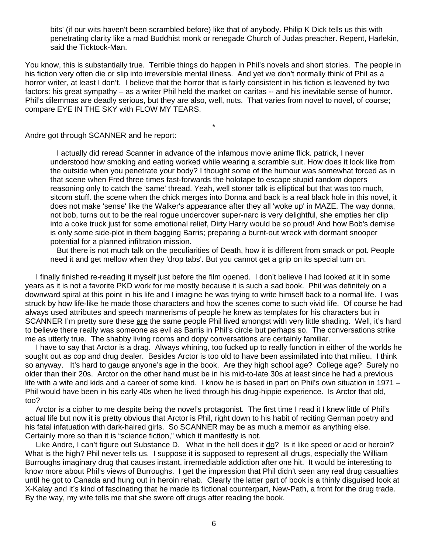bits' (if our wits haven't been scrambled before) like that of anybody. Philip K Dick tells us this with penetrating clarity like a mad Buddhist monk or renegade Church of Judas preacher. Repent, Harlekin, said the Ticktock-Man.

You know, this is substantially true. Terrible things do happen in Phil's novels and short stories. The people in his fiction very often die or slip into irreversible mental illness. And yet we don't normally think of Phil as a horror writer, at least I don't. I believe that the horror that is fairly consistent in his fiction is leavened by two factors: his great sympathy – as a writer Phil held the market on caritas -- and his inevitable sense of humor. Phil's dilemmas are deadly serious, but they are also, well, nuts. That varies from novel to novel, of course; compare EYE IN THE SKY with FLOW MY TEARS.

\*

Andre got through SCANNER and he report:

 I actually did reread Scanner in advance of the infamous movie anime flick. patrick, I never understood how smoking and eating worked while wearing a scramble suit. How does it look like from the outside when you penetrate your body? I thought some of the humour was somewhat forced as in that scene when Fred three times fast-forwards the holotape to escape stupid random dopers reasoning only to catch the 'same' thread. Yeah, well stoner talk is elliptical but that was too much, sitcom stuff. the scene when the chick merges into Donna and back is a real black hole in this novel, it does not make 'sense' like the Walker's appearance after they all 'woke up' in MAZE. The way donna, not bob, turns out to be the real rogue undercover super-narc is very delightful, she empties her clip into a coke truck just for some emotional relief, Dirty Harry would be so proud! And how Bob's demise is only some side-plot in them bagging Barris; preparing a burnt-out wreck with dormant snooper potential for a planned infiltration mission.

 But there is not much talk on the peculiarities of Death, how it is different from smack or pot. People need it and get mellow when they 'drop tabs'. But you cannot get a grip on its special turn on.

 I finally finished re-reading it myself just before the film opened. I don't believe I had looked at it in some years as it is not a favorite PKD work for me mostly because it is such a sad book. Phil was definitely on a downward spiral at this point in his life and I imagine he was trying to write himself back to a normal life. I was struck by how life-like he made those characters and how the scenes come to such vivid life. Of course he had always used attributes and speech mannerisms of people he knew as templates for his characters but in SCANNER I'm pretty sure these are the same people Phil lived amongst with very little shading. Well, it's hard to believe there really was someone as evil as Barris in Phil's circle but perhaps so. The conversations strike me as utterly true. The shabby living rooms and dopy conversations are certainly familiar.

 I have to say that Arctor is a drag. Always whining, too fucked up to really function in either of the worlds he sought out as cop and drug dealer. Besides Arctor is too old to have been assimilated into that milieu. I think so anyway. It's hard to gauge anyone's age in the book. Are they high school age? College age? Surely no older than their 20s. Arctor on the other hand must be in his mid-to-late 30s at least since he had a previous life with a wife and kids and a career of some kind. I know he is based in part on Phil's own situation in 1971 – Phil would have been in his early 40s when he lived through his drug-hippie experience. Is Arctor that old, too?

 Arctor is a cipher to me despite being the novel's protagonist. The first time I read it I knew little of Phil's actual life but now it is pretty obvious that Arctor is Phil, right down to his habit of reciting German poetry and his fatal infatuation with dark-haired girls. So SCANNER may be as much a memoir as anything else. Certainly more so than it is "science fiction," which it manifestly is not.

Like Andre, I can't figure out Substance D. What in the hell does it <u>do</u>? Is it like speed or acid or heroin? What is the high? Phil never tells us. I suppose it is supposed to represent all drugs, especially the William Burroughs imaginary drug that causes instant, irremediable addiction after one hit. It would be interesting to know more about Phil's views of Burroughs. I get the impression that Phil didn't seen any real drug casualties until he got to Canada and hung out in heroin rehab. Clearly the latter part of book is a thinly disguised look at X-Kalay and it's kind of fascinating that he made its fictional counterpart, New-Path, a front for the drug trade. By the way, my wife tells me that she swore off drugs after reading the book.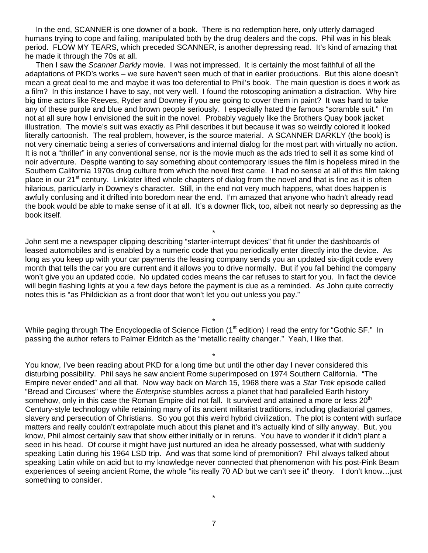In the end, SCANNER is one downer of a book. There is no redemption here, only utterly damaged humans trying to cope and failing, manipulated both by the drug dealers and the cops. Phil was in his bleak period. FLOW MY TEARS, which preceded SCANNER, is another depressing read. It's kind of amazing that he made it through the 70s at all.

 Then I saw the *Scanner Darkly* movie*.* I was not impressed. It is certainly the most faithful of all the adaptations of PKD's works – we sure haven't seen much of that in earlier productions. But this alone doesn't mean a great deal to me and maybe it was too deferential to Phil's book. The main question is does it work as a film? In this instance I have to say, not very well. I found the rotoscoping animation a distraction. Why hire big time actors like Reeves, Ryder and Downey if you are going to cover them in paint? It was hard to take any of these purple and blue and brown people seriously. I especially hated the famous "scramble suit." I'm not at all sure how I envisioned the suit in the novel. Probably vaguely like the Brothers Quay book jacket illustration. The movie's suit was exactly as Phil describes it but because it was so weirdly colored it looked literally cartoonish. The real problem, however, is the source material. A SCANNER DARKLY (the book) is not very cinematic being a series of conversations and internal dialog for the most part with virtually no action. It is not a "thriller" in any conventional sense, nor is the movie much as the ads tried to sell it as some kind of noir adventure. Despite wanting to say something about contemporary issues the film is hopeless mired in the Southern California 1970s drug culture from which the novel first came. I had no sense at all of this film taking place in our 21<sup>st</sup> century. Linklater lifted whole chapters of dialog from the novel and that is fine as it is often hilarious, particularly in Downey's character. Still, in the end not very much happens, what does happen is awfully confusing and it drifted into boredom near the end. I'm amazed that anyone who hadn't already read the book would be able to make sense of it at all. It's a downer flick, too, albeit not nearly so depressing as the book itself.

\* John sent me a newspaper clipping describing "starter-interrupt devices" that fit under the dashboards of leased automobiles and is enabled by a numeric code that you periodically enter directly into the device. As long as you keep up with your car payments the leasing company sends you an updated six-digit code every month that tells the car you are current and it allows you to drive normally. But if you fall behind the company won't give you an updated code. No updated codes means the car refuses to start for you. In fact the device will begin flashing lights at you a few days before the payment is due as a reminded. As John quite correctly notes this is "as Phildickian as a front door that won't let you out unless you pay."

\* While paging through The Encyclopedia of Science Fiction (1<sup>st</sup> edition) I read the entry for "Gothic SF." In passing the author refers to Palmer Eldritch as the "metallic reality changer." Yeah, I like that.

You know, I've been reading about PKD for a long time but until the other day I never considered this disturbing possibility. Phil says he saw ancient Rome superimposed on 1974 Southern California. "The Empire never ended" and all that. Now way back on March 15, 1968 there was a *Star Trek* episode called "Bread and Circuses" where the *Enterprise* stumbles across a planet that had paralleled Earth history somehow, only in this case the Roman Empire did not fall. It survived and attained a more or less 20<sup>th</sup> Century-style technology while retaining many of its ancient militarist traditions, including gladiatorial games, slavery and persecution of Christians. So you got this weird hybrid civilization. The plot is content with surface matters and really couldn't extrapolate much about this planet and it's actually kind of silly anyway. But, you know, Phil almost certainly saw that show either initially or in reruns. You have to wonder if it didn't plant a seed in his head. Of course it might have just nurtured an idea he already possessed, what with suddenly speaking Latin during his 1964 LSD trip. And was that some kind of premonition? Phil always talked about speaking Latin while on acid but to my knowledge never connected that phenomenon with his post-Pink Beam experiences of seeing ancient Rome, the whole "its really 70 AD but we can't see it" theory. I don't know…just something to consider.

\*

\*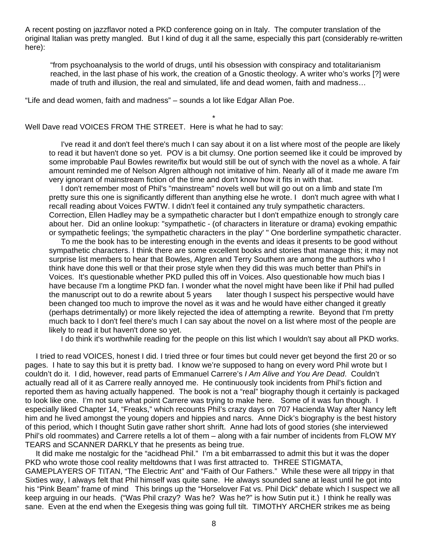A recent posting on jazzflavor noted a PKD conference going on in Italy. The computer translation of the original Italian was pretty mangled. But I kind of dug it all the same, especially this part (considerably re-written here):

\*

"from psychoanalysis to the world of drugs, until his obsession with conspiracy and totalitarianism reached, in the last phase of his work, the creation of a Gnostic theology. A writer who's works [?] were made of truth and illusion, the real and simulated, life and dead women, faith and madness…

"Life and dead women, faith and madness" – sounds a lot like Edgar Allan Poe.

Well Dave read VOICES FROM THE STREET. Here is what he had to say:

 I've read it and don't feel there's much I can say about it on a list where most of the people are likely to read it but haven't done so yet. POV is a bit clumsy. One portion seemed like it could be improved by some improbable Paul Bowles rewrite/fix but would still be out of synch with the novel as a whole. A fair amount reminded me of Nelson Algren although not imitative of him. Nearly all of it made me aware I'm very ignorant of mainstream fiction of the time and don't know how it fits in with that.

 I don't remember most of Phil's "mainstream" novels well but will go out on a limb and state I'm pretty sure this one is significantly different than anything else he wrote. I don't much agree with what I recall reading about Voices FWTW. I didn't feel it contained any truly sympathetic characters. Correction, Ellen Hadley may be a sympathetic character but I don't empathize enough to strongly care about her. Did an online lookup: "sympathetic - (of characters in literature or drama) evoking empathic or sympathetic feelings; 'the sympathetic characters in the play' " One borderline sympathetic character.

 To me the book has to be interesting enough in the events and ideas it presents to be good without sympathetic characters. I think there are some excellent books and stories that manage this; it may not surprise list members to hear that Bowles, Algren and Terry Southern are among the authors who I think have done this well or that their prose style when they did this was much better than Phil's in Voices. It's questionable whether PKD pulled this off in Voices. Also questionable how much bias I have because I'm a longtime PKD fan. I wonder what the novel might have been like if Phil had pulled the manuscript out to do a rewrite about 5 years later though I suspect his perspective would have been changed too much to improve the novel as it was and he would have either changed it greatly (perhaps detrimentally) or more likely rejected the idea of attempting a rewrite. Beyond that I'm pretty much back to I don't feel there's much I can say about the novel on a list where most of the people are likely to read it but haven't done so yet.

I do think it's worthwhile reading for the people on this list which I wouldn't say about all PKD works.

 I tried to read VOICES, honest I did. I tried three or four times but could never get beyond the first 20 or so pages. I hate to say this but it is pretty bad. I know we're supposed to hang on every word Phil wrote but I couldn't do it. I did, however, read parts of Emmanuel Carrere's *I Am Alive and You Are Dead*. Couldn't actually read all of it as Carrere really annoyed me. He continuously took incidents from Phil's fiction and reported them as having actually happened. The book is not a "real" biography though it certainly is packaged to look like one. I'm not sure what point Carrere was trying to make here. Some of it was fun though. I especially liked Chapter 14, "Freaks," which recounts Phil's crazy days on 707 Hacienda Way after Nancy left him and he lived amongst the young dopers and hippies and narcs. Anne Dick's biography is the best history of this period, which I thought Sutin gave rather short shrift. Anne had lots of good stories (she interviewed Phil's old roommates) and Carrere retells a lot of them – along with a fair number of incidents from FLOW MY TEARS and SCANNER DARKLY that he presents as being true.

 It did make me nostalgic for the "acidhead Phil." I'm a bit embarrassed to admit this but it was the doper PKD who wrote those cool reality meltdowns that I was first attracted to. THREE STIGMATA, GAMEPLAYERS OF TITAN, "The Electric Ant" and "Faith of Our Fathers." While these were all trippy in that Sixties way, I always felt that Phil himself was quite sane. He always sounded sane at least until he got into his "Pink Beam" frame of mind This brings up the "Horselover Fat vs. Phil Dick" debate which I suspect we all keep arguing in our heads. ("Was Phil crazy? Was he? Was he?" is how Sutin put it.) I think he really was sane. Even at the end when the Exegesis thing was going full tilt. TIMOTHY ARCHER strikes me as being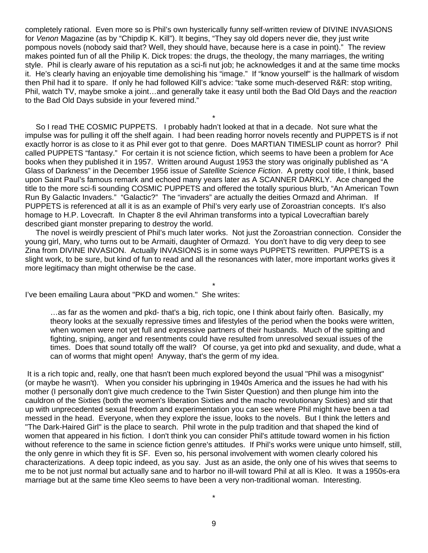completely rational. Even more so is Phil's own hysterically funny self-written review of DIVINE INVASIONS for *Venon* Magazine (as by "Chipdip K. Kill"). It begins, "They say old dopers never die, they just write pompous novels (nobody said that? Well, they should have, because here is a case in point)." The review makes pointed fun of all the Philip K. Dick tropes: the drugs, the theology, the many marriages, the writing style. Phil is clearly aware of his reputation as a sci-fi nut job; he acknowledges it and at the same time mocks it. He's clearly having an enjoyable time demolishing his "image." If "know yourself" is the hallmark of wisdom then Phil had it to spare. If only he had followed Kill's advice: "take some much-deserved R&R: stop writing, Phil, watch TV, maybe smoke a joint…and generally take it easy until both the Bad Old Days and the *reaction* to the Bad Old Days subside in your fevered mind."

\*

 So I read THE COSMIC PUPPETS. I probably hadn't looked at that in a decade. Not sure what the impulse was for pulling it off the shelf again. I had been reading horror novels recently and PUPPETS is if not exactly horror is as close to it as Phil ever got to that genre. Does MARTIAN TIMESLIP count as horror? Phil called PUPPETS "fantasy." For certain it is not science fiction, which seems to have been a problem for Ace books when they published it in 1957. Written around August 1953 the story was originally published as "A Glass of Darkness" in the December 1956 issue of *Satellite Science Fiction*. A pretty cool title, I think, based upon Saint Paul's famous remark and echoed many years later as A SCANNER DARKLY. Ace changed the title to the more sci-fi sounding COSMIC PUPPETS and offered the totally spurious blurb, "An American Town Run By Galactic Invaders." "Galactic?" The "invaders" are actually the deities Ormazd and Ahriman. If PUPPETS is referenced at all it is as an example of Phil's very early use of Zoroastrian concepts. It's also homage to H.P. Lovecraft. In Chapter 8 the evil Ahriman transforms into a typical Lovecraftian barely described giant monster preparing to destroy the world.

 The novel is weirdly prescient of Phil's much later works. Not just the Zoroastrian connection. Consider the young girl, Mary, who turns out to be Armaiti, daughter of Ormazd. You don't have to dig very deep to see Zina from DIVINE INVASION. Actually INVASIONS is in some ways PUPPETS rewritten. PUPPETS is a slight work, to be sure, but kind of fun to read and all the resonances with later, more important works gives it more legitimacy than might otherwise be the case.

\*

I've been emailing Laura about "PKD and women." She writes:

…as far as the women and pkd- that's a big, rich topic, one I think about fairly often. Basically, my theory looks at the sexually repressive times and lifestyles of the period when the books were written, when women were not yet full and expressive partners of their husbands. Much of the spitting and fighting, sniping, anger and resentments could have resulted from unresolved sexual issues of the times. Does that sound totally off the wall? Of course, ya get into pkd and sexuality, and dude, what a can of worms that might open! Anyway, that's the germ of my idea.

 It is a rich topic and, really, one that hasn't been much explored beyond the usual "Phil was a misogynist" (or maybe he wasn't). When you consider his upbringing in 1940s America and the issues he had with his mother (I personally don't give much credence to the Twin Sister Question) and then plunge him into the cauldron of the Sixties (both the women's liberation Sixties and the macho revolutionary Sixties) and stir that up with unprecedented sexual freedom and experimentation you can see where Phil might have been a tad messed in the head. Everyone, when they explore the issue, looks to the novels. But I think the letters and "The Dark-Haired Girl" is the place to search. Phil wrote in the pulp tradition and that shaped the kind of women that appeared in his fiction. I don't think you can consider Phil's attitude toward women in his fiction without reference to the same in science fiction genre's attitudes. If Phil's works were unique unto himself, still, the only genre in which they fit is SF. Even so, his personal involvement with women clearly colored his characterizations. A deep topic indeed, as you say. Just as an aside, the only one of his wives that seems to me to be not just normal but actually sane and to harbor no ill-will toward Phil at all is Kleo. It was a 1950s-era marriage but at the same time Kleo seems to have been a very non-traditional woman. Interesting.

\*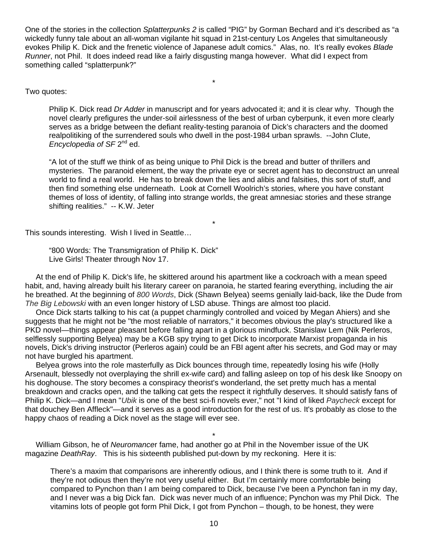One of the stories in the collection *Splatterpunks 2* is called "PIG" by Gorman Bechard and it's described as "a wickedly funny tale about an all-woman vigilante hit squad in 21st-century Los Angeles that simultaneously evokes Philip K. Dick and the frenetic violence of Japanese adult comics." Alas, no. It's really evokes *Blade Runner*, not Phil. It does indeed read like a fairly disgusting manga however. What did I expect from something called "splatterpunk?"

\*

# Two quotes:

Philip K. Dick read *Dr Adder* in manuscript and for years advocated it; and it is clear why. Though the novel clearly prefigures the under-soil airlessness of the best of urban cyberpunk, it even more clearly serves as a bridge between the defiant reality-testing paranoia of Dick's characters and the doomed realpolitiking of the surrendered souls who dwell in the post-1984 urban sprawls. --John Clute, *Encyclopedia of SF* 2<sup>nd</sup> ed.

"A lot of the stuff we think of as being unique to Phil Dick is the bread and butter of thrillers and mysteries. The paranoid element, the way the private eye or secret agent has to deconstruct an unreal world to find a real world. He has to break down the lies and alibis and falsities, this sort of stuff, and then find something else underneath. Look at Cornell Woolrich's stories, where you have constant themes of loss of identity, of falling into strange worlds, the great amnesiac stories and these strange shifting realities." -- K.W. Jeter

This sounds interesting. Wish I lived in Seattle…

"800 Words: The Transmigration of Philip K. Dick" Live Girls! Theater through Nov 17.

 At the end of Philip K. Dick's life, he skittered around his apartment like a cockroach with a mean speed habit, and, having already built his literary career on paranoia, he started fearing everything, including the air he breathed. At the beginning of *800 Words*, Dick (Shawn Belyea) seems genially laid-back, like the Dude from *The Big Lebowski* with an even longer history of LSD abuse. Things are almost too placid.

\*

 Once Dick starts talking to his cat (a puppet charmingly controlled and voiced by Megan Ahiers) and she suggests that he might not be "the most reliable of narrators," it becomes obvious the play's structured like a PKD novel—things appear pleasant before falling apart in a glorious mindfuck. Stanislaw Lem (Nik Perleros, selflessly supporting Belyea) may be a KGB spy trying to get Dick to incorporate Marxist propaganda in his novels, Dick's driving instructor (Perleros again) could be an FBI agent after his secrets, and God may or may not have burgled his apartment.

 Belyea grows into the role masterfully as Dick bounces through time, repeatedly losing his wife (Holly Arsenault, blessedly not overplaying the shrill ex-wife card) and falling asleep on top of his desk like Snoopy on his doghouse. The story becomes a conspiracy theorist's wonderland, the set pretty much has a mental breakdown and cracks open, and the talking cat gets the respect it rightfully deserves. It should satisfy fans of Philip K. Dick—and I mean "*Ubik* is one of the best sci-fi novels ever," not "I kind of liked *Paycheck* except for that douchey Ben Affleck"—and it serves as a good introduction for the rest of us. It's probably as close to the happy chaos of reading a Dick novel as the stage will ever see.

\* William Gibson, he of *Neuromance*r fame, had another go at Phil in the November issue of the UK magazine *DeathRay*. This is his sixteenth published put-down by my reckoning. Here it is:

There's a maxim that comparisons are inherently odious, and I think there is some truth to it. And if they're not odious then they're not very useful either. But I'm certainly more comfortable being compared to Pynchon than I am being compared to Dick, because I've been a Pynchon fan in my day, and I never was a big Dick fan. Dick was never much of an influence; Pynchon was my Phil Dick. The vitamins lots of people got form Phil Dick, I got from Pynchon – though, to be honest, they were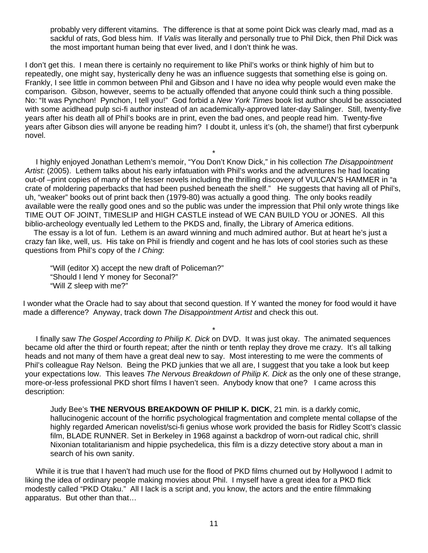probably very different vitamins. The difference is that at some point Dick was clearly mad, mad as a sackful of rats, God bless him. If *Valis* was literally and personally true to Phil Dick, then Phil Dick was the most important human being that ever lived, and I don't think he was.

I don't get this. I mean there is certainly no requirement to like Phil's works or think highly of him but to repeatedly, one might say, hysterically deny he was an influence suggests that something else is going on. Frankly, I see little in common between Phil and Gibson and I have no idea why people would even make the comparison. Gibson, however, seems to be actually offended that anyone could think such a thing possible. No: "It was Pynchon! Pynchon, I tell you!" God forbid a *New York Times* book list author should be associated with some acidhead pulp sci-fi author instead of an academically-approved later-day Salinger. Still, twenty-five years after his death all of Phil's books are in print, even the bad ones, and people read him. Twenty-five years after Gibson dies will anyone be reading him? I doubt it, unless it's (oh, the shame!) that first cyberpunk novel.

\* I highly enjoyed Jonathan Lethem's memoir, "You Don't Know Dick," in his collection *The Disappointment Artist*: (2005). Lethem talks about his early infatuation with Phil's works and the adventures he had locating out-of –print copies of many of the lesser novels including the thrilling discovery of VULCAN'S HAMMER in "a crate of moldering paperbacks that had been pushed beneath the shelf." He suggests that having all of Phil's, uh, "weaker" books out of print back then (1979-80) was actually a good thing. The only books readily available were the really good ones and so the public was under the impression that Phil only wrote things like TIME OUT OF JOINT, TIMESLIP and HIGH CASTLE instead of WE CAN BUILD YOU or JONES. All this biblio-archeology eventually led Lethem to the PKDS and, finally, the Library of America editions.

 The essay is a lot of fun. Lethem is an award winning and much admired author. But at heart he's just a crazy fan like, well, us. His take on Phil is friendly and cogent and he has lots of cool stories such as these questions from Phil's copy of the *I Ching*:

"Will (editor X) accept the new draft of Policeman?" "Should I lend Y money for Seconal?" "Will Z sleep with me?"

I wonder what the Oracle had to say about that second question. If Y wanted the money for food would it have made a difference? Anyway, track down *The Disappointment Artist* and check this out.

\* I finally saw *The Gospel According to Philip K. Dick* on DVD. It was just okay. The animated sequences became old after the third or fourth repeat; after the ninth or tenth replay they drove me crazy. It's all talking heads and not many of them have a great deal new to say. Most interesting to me were the comments of Phil's colleague Ray Nelson. Being the PKD junkies that we all are, I suggest that you take a look but keep your expectations low. This leaves *The Nervous Breakdown of Philip K. Dick* as the only one of these strange, more-or-less professional PKD short films I haven't seen. Anybody know that one? I came across this description:

Judy Bee's **THE NERVOUS BREAKDOWN OF PHILIP K. DICK**, 21 min. is a darkly comic, hallucinogenic account of the horrific psychological fragmentation and complete mental collapse of the highly regarded American novelist/sci-fi genius whose work provided the basis for Ridley Scott's classic film, BLADE RUNNER. Set in Berkeley in 1968 against a backdrop of worn-out radical chic, shrill Nixonian totalitarianism and hippie psychedelica, this film is a dizzy detective story about a man in search of his own sanity.

 While it is true that I haven't had much use for the flood of PKD films churned out by Hollywood I admit to liking the idea of ordinary people making movies about Phil. I myself have a great idea for a PKD flick modestly called "PKD Otaku." All I lack is a script and, you know, the actors and the entire filmmaking apparatus. But other than that…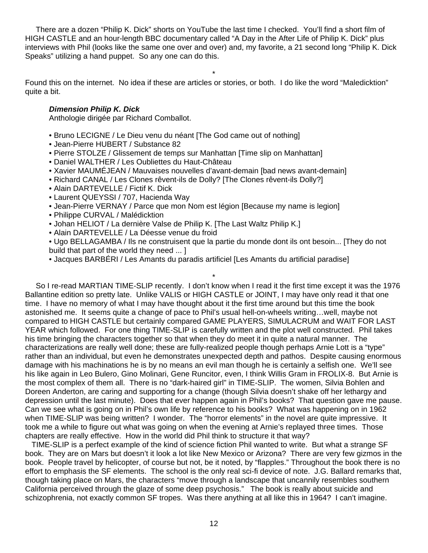There are a dozen "Philip K. Dick" shorts on YouTube the last time I checked. You'll find a short film of HIGH CASTLE and an hour-length BBC documentary called "A Day in the After Life of Philip K. Dick" plus interviews with Phil (looks like the same one over and over) and, my favorite, a 21 second long "Philip K. Dick Speaks" utilizing a hand puppet. So any one can do this.

\*

Found this on the internet. No idea if these are articles or stories, or both. I do like the word "Maledicktion" quite a bit.

# *Dimension Philip K. Dick*

Anthologie dirigée par Richard Comballot.

- Bruno LECIGNE / Le Dieu venu du néant [The God came out of nothing]
- Jean-Pierre HUBERT / Substance 82
- Pierre STOLZE / Glissement de temps sur Manhattan [Time slip on Manhattan]
- Daniel WALTHER / Les Oubliettes du Haut-Château
- Xavier MAUMÉJEAN / Mauvaises nouvelles d'avant-demain [bad news avant-demain]
- Richard CANAL / Les Clones rêvent-ils de Dolly? [The Clones rêvent-ils Dolly?]
- Alain DARTEVELLE / Fictif K. Dick
- Laurent QUEYSSI / 707, Hacienda Way
- Jean-Pierre VERNAY / Parce que mon Nom est légion [Because my name is legion]
- Philippe CURVAL / Malédicktion
- Johan HELIOT / La dernière Valse de Philip K. [The Last Waltz Philip K.]
- Alain DARTEVELLE / La Déesse venue du froid

• Ugo BELLAGAMBA / Ils ne construisent que la partie du monde dont ils ont besoin... [They do not build that part of the world they need ... ]

\*

• Jacques BARBÉRI / Les Amants du paradis artificiel [Les Amants du artificial paradise]

 So I re-read MARTIAN TIME-SLIP recently. I don't know when I read it the first time except it was the 1976 Ballantine edition so pretty late. Unlike VALIS or HIGH CASTLE or JOINT, I may have only read it that one time. I have no memory of what I may have thought about it the first time around but this time the book astonished me. It seems quite a change of pace to Phil's usual hell-on-wheels writing…well, maybe not compared to HIGH CASTLE but certainly compared GAME PLAYERS, SIMULACRUM and WAIT FOR LAST YEAR which followed. For one thing TIME-SLIP is carefully written and the plot well constructed. Phil takes his time bringing the characters together so that when they do meet it in quite a natural manner. The characterizations are really well done; these are fully-realized people though perhaps Arnie Lott is a "type" rather than an individual, but even he demonstrates unexpected depth and pathos. Despite causing enormous damage with his machinations he is by no means an evil man though he is certainly a selfish one. We'll see his like again in Leo Bulero, Gino Molinari, Gene Runcitor, even, I think Willis Gram in FROLIX-8. But Arnie is the most complex of them all. There is no "dark-haired girl" in TIME-SLIP. The women, Silvia Bohlen and Doreen Anderton, are caring and supporting for a change (though Silvia doesn't shake off her lethargy and depression until the last minute). Does that ever happen again in Phil's books? That question gave me pause. Can we see what is going on in Phil's own life by reference to his books? What was happening on in 1962 when TIME-SLIP was being written? I wonder. The "horror elements" in the novel are quite impressive. It took me a while to figure out what was going on when the evening at Arnie's replayed three times. Those chapters are really effective. How in the world did Phil think to structure it that way?

 TIME-SLIP is a perfect example of the kind of science fiction Phil wanted to write. But what a strange SF book. They are on Mars but doesn't it look a lot like New Mexico or Arizona? There are very few gizmos in the book. People travel by helicopter, of course but not, be it noted, by "flapples." Throughout the book there is no effort to emphasis the SF elements. The school is the only real sci-fi device of note. J.G. Ballard remarks that, though taking place on Mars, the characters "move through a landscape that uncannily resembles southern California perceived through the glaze of some deep psychosis." The book is really about suicide and schizophrenia, not exactly common SF tropes. Was there anything at all like this in 1964? I can't imagine.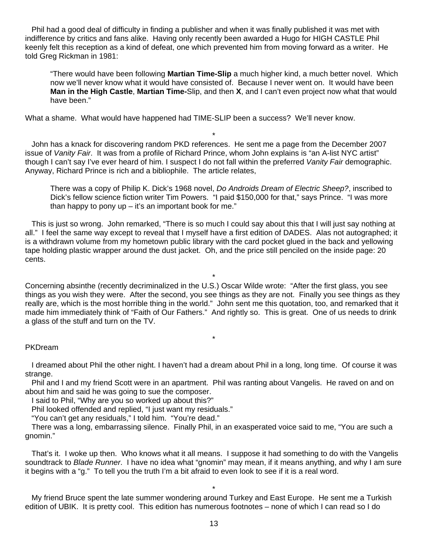Phil had a good deal of difficulty in finding a publisher and when it was finally published it was met with indifference by critics and fans alike. Having only recently been awarded a Hugo for HIGH CASTLE Phil keenly felt this reception as a kind of defeat, one which prevented him from moving forward as a writer. He told Greg Rickman in 1981:

"There would have been following **Martian Time-Slip** a much higher kind, a much better novel. Which now we'll never know what it would have consisted of. Because I never went on. It would have been **Man in the High Castle**, **Martian Time-**Slip, and then **X**, and I can't even project now what that would have been."

What a shame. What would have happened had TIME-SLIP been a success? We'll never know.

 John has a knack for discovering random PKD references. He sent me a page from the December 2007 issue of *Vanity Fair*. It was from a profile of Richard Prince, whom John explains is "an A-list NYC artist" though I can't say I've ever heard of him. I suspect I do not fall within the preferred *Vanity Fair* demographic. Anyway, Richard Prince is rich and a bibliophile. The article relates,

\*

There was a copy of Philip K. Dick's 1968 novel, *Do Androids Dream of Electric Sheep?*, inscribed to Dick's fellow science fiction writer Tim Powers. "I paid \$150,000 for that," says Prince. "I was more than happy to pony  $up - it's$  an important book for me."

 This is just so wrong. John remarked, "There is so much I could say about this that I will just say nothing at all." I feel the same way except to reveal that I myself have a first edition of DADES. Alas not autographed; it is a withdrawn volume from my hometown public library with the card pocket glued in the back and yellowing tape holding plastic wrapper around the dust jacket. Oh, and the price still penciled on the inside page: 20 cents.

Concerning absinthe (recently decriminalized in the U.S.) Oscar Wilde wrote: "After the first glass, you see things as you wish they were. After the second, you see things as they are not. Finally you see things as they really are, which is the most horrible thing in the world." John sent me this quotation, too, and remarked that it made him immediately think of "Faith of Our Fathers." And rightly so. This is great. One of us needs to drink a glass of the stuff and turn on the TV.

\*

\*

# PKDream

 I dreamed about Phil the other night. I haven't had a dream about Phil in a long, long time. Of course it was strange.

 Phil and I and my friend Scott were in an apartment. Phil was ranting about Vangelis. He raved on and on about him and said he was going to sue the composer.

I said to Phil, "Why are you so worked up about this?"

Phil looked offended and replied, "I just want my residuals."

"You can't get any residuals," I told him. "You're dead."

 There was a long, embarrassing silence. Finally Phil, in an exasperated voice said to me, "You are such a gnomin."

 That's it. I woke up then. Who knows what it all means. I suppose it had something to do with the Vangelis soundtrack to *Blade Runner*. I have no idea what "gnomin" may mean, if it means anything, and why I am sure it begins with a "g." To tell you the truth I'm a bit afraid to even look to see if it is a real word.

\* My friend Bruce spent the late summer wondering around Turkey and East Europe. He sent me a Turkish edition of UBIK. It is pretty cool. This edition has numerous footnotes – none of which I can read so I do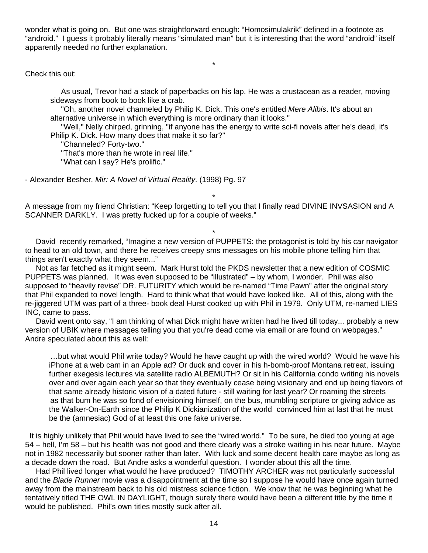wonder what is going on. But one was straightforward enough: "Homosimulakrik" defined in a footnote as "android." I guess it probably literally means "simulated man" but it is interesting that the word "android" itself apparently needed no further explanation.

\*

Check this out:

 As usual, Trevor had a stack of paperbacks on his lap. He was a crustacean as a reader, moving sideways from book to book like a crab.

 "Oh, another novel channeled by Philip K. Dick. This one's entitled *Mere Alibis*. It's about an alternative universe in which everything is more ordinary than it looks."

 "Well," Nelly chirped, grinning, "if anyone has the energy to write sci-fi novels after he's dead, it's Philip K. Dick. How many does that make it so far?"

"Channeled? Forty-two."

"That's more than he wrote in real life."

"What can I say? He's prolific."

- Alexander Besher, *Mir: A Novel of Virtual Reality*. (1998) Pg. 97

\* A message from my friend Christian: "Keep forgetting to tell you that I finally read DIVINE INVSASION and A SCANNER DARKLY. I was pretty fucked up for a couple of weeks."

\* David recently remarked, "Imagine a new version of PUPPETS: the protagonist is told by his car navigator to head to an old town, and there he receives creepy sms messages on his mobile phone telling him that things aren't exactly what they seem..."

 Not as far fetched as it might seem. Mark Hurst told the PKDS newsletter that a new edition of COSMIC PUPPETS was planned. It was even supposed to be "illustrated" – by whom, I wonder. Phil was also supposed to "heavily revise" DR. FUTURITY which would be re-named "Time Pawn" after the original story that Phil expanded to novel length. Hard to think what that would have looked like. All of this, along with the re-jiggered UTM was part of a three- book deal Hurst cooked up with Phil in 1979. Only UTM, re-named LIES INC, came to pass.

 David went onto say, "I am thinking of what Dick might have written had he lived till today... probably a new version of UBIK where messages telling you that you're dead come via email or are found on webpages." Andre speculated about this as well:

 …but what would Phil write today? Would he have caught up with the wired world? Would he wave his iPhone at a web cam in an Apple ad? Or duck and cover in his h-bomb-proof Montana retreat, issuing further exegesis lectures via satellite radio ALBEMUTH? Or sit in his California condo writing his novels over and over again each year so that they eventually cease being visionary and end up being flavors of that same already historic vision of a dated future - still waiting for last year? Or roaming the streets as that bum he was so fond of envisioning himself, on the bus, mumbling scripture or giving advice as the Walker-On-Earth since the Philip K Dickianization of the world convinced him at last that he must be the (amnesiac) God of at least this one fake universe.

 It is highly unlikely that Phil would have lived to see the "wired world." To be sure, he died too young at age 54 – hell, I'm 58 – but his health was not good and there clearly was a stroke waiting in his near future. Maybe not in 1982 necessarily but sooner rather than later. With luck and some decent health care maybe as long as a decade down the road. But Andre asks a wonderful question. I wonder about this all the time.

 Had Phil lived longer what would he have produced? TIMOTHY ARCHER was not particularly successful and the *Blade Runner* movie was a disappointment at the time so I suppose he would have once again turned away from the mainstream back to his old mistress science fiction. We know that he was beginning what he tentatively titled THE OWL IN DAYLIGHT, though surely there would have been a different title by the time it would be published. Phil's own titles mostly suck after all.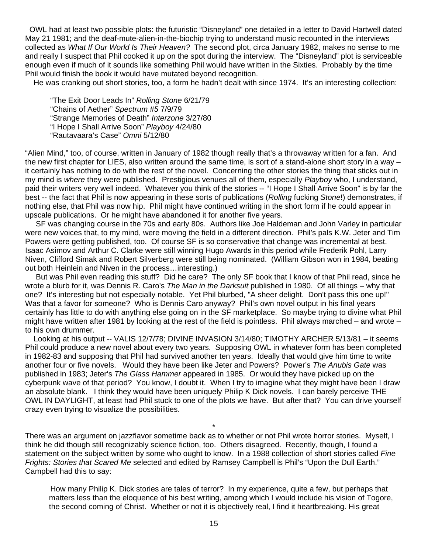OWL had at least two possible plots: the futuristic "Disneyland" one detailed in a letter to David Hartwell dated May 21 1981; and the deaf-mute-alien-in-the-biochip trying to understand music recounted in the interviews collected as *What If Our World Is Their Heaven?* The second plot, circa January 1982, makes no sense to me and really I suspect that Phil cooked it up on the spot during the interview. The "Disneyland" plot is serviceable enough even if much of it sounds like something Phil would have written in the Sixties. Probably by the time Phil would finish the book it would have mutated beyond recognition.

He was cranking out short stories, too, a form he hadn't dealt with since 1974. It's an interesting collection:

 "The Exit Door Leads In" *Rolling Stone* 6/21/79 "Chains of Aether" *Spectrum #5* 7/9/79 "Strange Memories of Death" *Interzone* 3/27/80 "I Hope I Shall Arrive Soon" *Playboy* 4/24/80 "Rautavaara's Case" *Omni* 5/12/80

"Alien Mind," too, of course, written in January of 1982 though really that's a throwaway written for a fan. And the new first chapter for LIES, also written around the same time, is sort of a stand-alone short story in a way – it certainly has nothing to do with the rest of the novel. Concerning the other stories the thing that sticks out in my mind is *where* they were published. Prestigious venues all of them, especially *Playboy* who, I understand, paid their writers very well indeed. Whatever you think of the stories -- "I Hope I Shall Arrive Soon" is by far the best -- the fact that Phil is now appearing in these sorts of publications (*Rolling* fucking *Stone*!) demonstrates, if nothing else, that Phil was now hip. Phil might have continued writing in the short form if he could appear in upscale publications. Or he might have abandoned it for another five years.

 SF was changing course in the 70s and early 80s. Authors like Joe Haldeman and John Varley in particular were new voices that, to my mind, were moving the field in a different direction. Phil's pals K.W. Jeter and Tim Powers were getting published, too. Of course SF is so conservative that change was incremental at best. Isaac Asimov and Arthur C. Clarke were still winning Hugo Awards in this period while Frederik Pohl, Larry Niven, Clifford Simak and Robert Silverberg were still being nominated. (William Gibson won in 1984, beating out both Heinlein and Niven in the process…interesting.)

 But was Phil even reading this stuff? Did he care? The only SF book that I know of that Phil read, since he wrote a blurb for it, was Dennis R. Caro's *The Man in the Darksuit* published in 1980. Of all things – why that one? It's interesting but not especially notable. Yet Phil blurbed, "A sheer delight. Don't pass this one up!" Was that a favor for someone? Who is Dennis Caro anyway? Phil's own novel output in his final years certainly has little to do with anything else going on in the SF marketplace. So maybe trying to divine what Phil might have written after 1981 by looking at the rest of the field is pointless. Phil always marched – and wrote – to his own drummer.

 Looking at his output -- VALIS 12/7/78; DIVINE INVASION 3/14/80; TIMOTHY ARCHER 5/13/81 – it seems Phil could produce a new novel about every two years. Supposing OWL in whatever form has been completed in 1982-83 and supposing that Phil had survived another ten years. Ideally that would give him time to write another four or five novels. Would they have been like Jeter and Powers? Power's *The Anubis Gate* was published in 1983; Jeter's *The Glass Hammer* appeared in 1985. Or would they have picked up on the cyberpunk wave of that period? You know, I doubt it. When I try to imagine what they might have been I draw an absolute blank. I think they would have been uniquely Philip K Dick novels. I can barely perceive THE OWL IN DAYLIGHT, at least had Phil stuck to one of the plots we have. But after that? You can drive yourself crazy even trying to visualize the possibilities.

\* There was an argument on jazzflavor sometime back as to whether or not Phil wrote horror stories. Myself, I think he did though still recognizably science fiction, too. Others disagreed. Recently, though, I found a statement on the subject written by some who ought to know. In a 1988 collection of short stories called *Fine Frights: Stories that Scared Me* selected and edited by Ramsey Campbell is Phil's "Upon the Dull Earth." Campbell had this to say:

 How many Philip K. Dick stories are tales of terror? In my experience, quite a few, but perhaps that matters less than the eloquence of his best writing, among which I would include his vision of Togore, the second coming of Christ. Whether or not it is objectively real, I find it heartbreaking. His great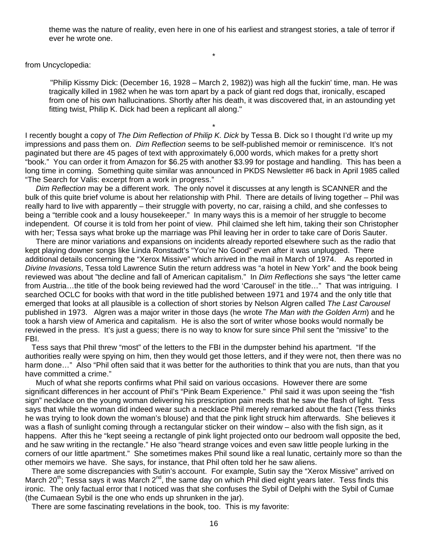theme was the nature of reality, even here in one of his earliest and strangest stories, a tale of terror if ever he wrote one.

\*

from Uncyclopedia:

 "Philip Kissmy Dick: (December 16, 1928 – March 2, 1982)) was high all the fuckin' time, man. He was tragically killed in 1982 when he was torn apart by a pack of giant red dogs that, ironically, escaped from one of his own hallucinations. Shortly after his death, it was discovered that, in an astounding yet fitting twist, Philip K. Dick had been a replicant all along."

I recently bought a copy of *The Dim Reflection of Philip K. Dick* by Tessa B. Dick so I thought I'd write up my impressions and pass them on. *Dim Reflection* seems to be self-published memoir or reminiscence. It's not paginated but there are 45 pages of text with approximately 6,000 words, which makes for a pretty short "book." You can order it from Amazon for \$6.25 with another \$3.99 for postage and handling. This has been a long time in coming. Something quite similar was announced in PKDS Newsletter #6 back in April 1985 called "The Search for Valis: excerpt from a work in progress."

\*

 *Dim Reflection* may be a different work. The only novel it discusses at any length is SCANNER and the bulk of this quite brief volume is about her relationship with Phil. There are details of living together – Phil was really hard to live with apparently – their struggle with poverty, no car, raising a child, and she confesses to being a "terrible cook and a lousy housekeeper." In many ways this is a memoir of her struggle to become independent. Of course it is told from her point of view. Phil claimed she left him, taking their son Christopher with her; Tessa says what broke up the marriage was Phil leaving her in order to take care of Doris Sauter.

 There are minor variations and expansions on incidents already reported elsewhere such as the radio that kept playing downer songs like Linda Ronstadt's "You're No Good" even after it was unplugged. There additional details concerning the "Xerox Missive" which arrived in the mail in March of 1974. As reported in *Divine Invasions*, Tessa told Lawrence Sutin the return address was "a hotel in New York" and the book being reviewed was about "the decline and fall of American capitalism." In *Dim Reflections* she says "the letter came from Austria…the title of the book being reviewed had the word 'Carousel' in the title…" That was intriguing. I searched OCLC for books with that word in the title published between 1971 and 1974 and the only title that emerged that looks at all plausible is a collection of short stories by Nelson Algren called *The Last Carousel* published in 1973. Algren was a major writer in those days (he wrote *The Man with the Golden Arm*) and he took a harsh view of America and capitalism. He is also the sort of writer whose books would normally be reviewed in the press. It's just a guess; there is no way to know for sure since Phil sent the "missive" to the FBI.

 Tess says that Phil threw "most" of the letters to the FBI in the dumpster behind his apartment. "If the authorities really were spying on him, then they would get those letters, and if they were not, then there was no harm done…" Also "Phil often said that it was better for the authorities to think that you are nuts, than that you have committed a crime."

 Much of what she reports confirms what Phil said on various occasions. However there are some significant differences in her account of Phil's "Pink Beam Experience." Phil said it was upon seeing the "fish sign" necklace on the young woman delivering his prescription pain meds that he saw the flash of light. Tess says that while the woman did indeed wear such a necklace Phil merely remarked about the fact (Tess thinks he was trying to look down the woman's blouse) and that the pink light struck him afterwards. She believes it was a flash of sunlight coming through a rectangular sticker on their window – also with the fish sign, as it happens. After this he "kept seeing a rectangle of pink light projected onto our bedroom wall opposite the bed, and he saw writing in the rectangle." He also "heard strange voices and even saw little people lurking in the corners of our little apartment." She sometimes makes Phil sound like a real lunatic, certainly more so than the other memoirs we have. She says, for instance, that Phil often told her he saw aliens.

 There are some discrepancies with Sutin's account. For example, Sutin say the "Xerox Missive" arrived on March 20<sup>th</sup>; Tessa says it was March 2<sup>nd</sup>, the same day on which Phil died eight years later. Tess finds this ironic. The only factual error that I noticed was that she confuses the Sybil of Delphi with the Sybil of Cumae (the Cumaean Sybil is the one who ends up shrunken in the jar).

There are some fascinating revelations in the book, too. This is my favorite: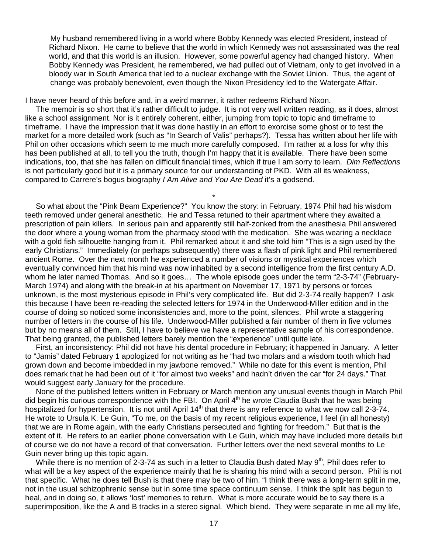My husband remembered living in a world where Bobby Kennedy was elected President, instead of Richard Nixon. He came to believe that the world in which Kennedy was not assassinated was the real world, and that this world is an illusion. However, some powerful agency had changed history. When Bobby Kennedy was President, he remembered, we had pulled out of Vietnam, only to get involved in a bloody war in South America that led to a nuclear exchange with the Soviet Union. Thus, the agent of change was probably benevolent, even though the Nixon Presidency led to the Watergate Affair.

I have never heard of this before and, in a weird manner, it rather redeems Richard Nixon.

 The memoir is so short that it's rather difficult to judge. It is not very well written reading, as it does, almost like a school assignment. Nor is it entirely coherent, either, jumping from topic to topic and timeframe to timeframe. I have the impression that it was done hastily in an effort to exorcise some ghost or to test the market for a more detailed work (such as "In Search of Valis" perhaps?). Tessa has written about her life with Phil on other occasions which seem to me much more carefully composed. I'm rather at a loss for why this has been published at all, to tell you the truth, though I'm happy that it is available. There have been some indications, too, that she has fallen on difficult financial times, which if true I am sorry to learn. *Dim Reflections* is not particularly good but it is a primary source for our understanding of PKD. With all its weakness, compared to Carrere's bogus biography *I Am Alive and You Are Dead* it's a godsend.

\*

 So what about the "Pink Beam Experience?" You know the story: in February, 1974 Phil had his wisdom teeth removed under general anesthetic. He and Tessa retuned to their apartment where they awaited a prescription of pain killers. In serious pain and apparently still half-zonked from the anesthesia Phil answered the door where a young woman from the pharmacy stood with the medication. She was wearing a necklace with a gold fish silhouette hanging from it. Phil remarked about it and she told him "This is a sign used by the early Christians." Immediately (or perhaps subsequently) there was a flash of pink light and Phil remembered ancient Rome. Over the next month he experienced a number of visions or mystical experiences which eventually convinced him that his mind was now inhabited by a second intelligence from the first century A.D. whom he later named Thomas. And so it goes… The whole episode goes under the term "2-3-74" (February-March 1974) and along with the break-in at his apartment on November 17, 1971 by persons or forces unknown, is the most mysterious episode in Phil's very complicated life. But did 2-3-74 really happen? I ask this because I have been re-reading the selected letters for 1974 in the Underwood-Miller edition and in the course of doing so noticed some inconsistencies and, more to the point, silences. Phil wrote a staggering number of letters in the course of his life. Underwood-Miller published a fair number of them in five volumes but by no means all of them. Still, I have to believe we have a representative sample of his correspondence. That being granted, the published letters barely mention the "experience" until quite late.

 First, an inconsistency: Phil did not have his dental procedure in February; it happened in January. A letter to "Jamis" dated February 1 apologized for not writing as he "had two molars and a wisdom tooth which had grown down and become imbedded in my jawbone removed." While no date for this event is mention, Phil does remark that he had been out of it "for almost two weeks" and hadn't driven the car "for 24 days." That would suggest early January for the procedure.

 None of the published letters written in February or March mention any unusual events though in March Phil did begin his curious correspondence with the FBI. On April 4<sup>th</sup> he wrote Claudia Bush that he was being hospitalized for hypertension. It is not until April 14<sup>th</sup> that there is any reference to what we now call 2-3-74. He wrote to Ursula K. Le Guin, "To me, on the basis of my recent religious experience, I feel (in all honesty) that we are in Rome again, with the early Christians persecuted and fighting for freedom." But that is the extent of it. He refers to an earlier phone conversation with Le Guin, which may have included more details but of course we do not have a record of that conversation. Further letters over the next several months to Le Guin never bring up this topic again.

While there is no mention of 2-3-74 as such in a letter to Claudia Bush dated May  $9<sup>th</sup>$ . Phil does refer to what will be a key aspect of the experience mainly that he is sharing his mind with a second person. Phil is not that specific. What he does tell Bush is that there may be two of him. "I think there was a long-term split in me, not in the usual schizophrenic sense but in some time space continuum sense. I think the split has begun to heal, and in doing so, it allows 'lost' memories to return. What is more accurate would be to say there is a superimposition, like the A and B tracks in a stereo signal. Which blend. They were separate in me all my life,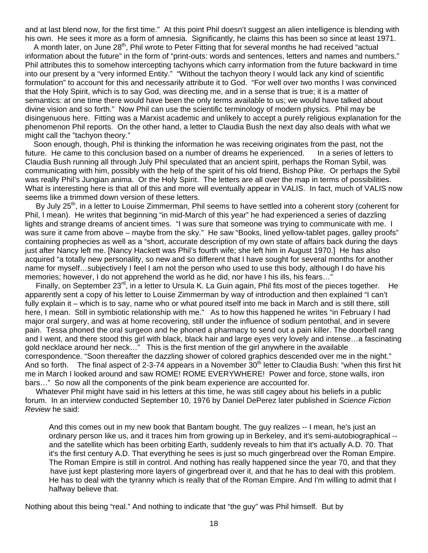and at last blend now, for the first time." At this point Phil doesn't suggest an alien intelligence is blending with his own. He sees it more as a form of amnesia. Significantly, he claims this has been so since at least 1971.

A month later, on June 28<sup>th</sup>, Phil wrote to Peter Fitting that for several months he had received "actual information about the future" in the form of "print-outs: words and sentences, letters and names and numbers." Phil attributes this to somehow intercepting tachyons which carry information from the future backward in time into our present by a "very informed Entity." "Without the tachyon theory I would lack any kind of scientific formulation" to account for this and necessarily attribute it to God. "For well over two months I was convinced that the Holy Spirit, which is to say God, was directing me, and in a sense that is true; it is a matter of semantics: at one time there would have been the only terms available to us; we would have talked about divine vision and so forth." Now Phil can use the scientific terminology of modern physics. Phil may be disingenuous here. Fitting was a Marxist academic and unlikely to accept a purely religious explanation for the phenomenon Phil reports. On the other hand, a letter to Claudia Bush the next day also deals with what we might call the "tachyon theory."

 Soon enough, though, Phil is thinking the information he was receiving originates from the past, not the future. He came to this conclusion based on a number of dreams he experienced. In a series of letters to Claudia Bush running all through July Phil speculated that an ancient spirit, perhaps the Roman Sybil, was communicating with him, possibly with the help of the spirit of his old friend, Bishop Pike. Or perhaps the Sybil was really Phil's Jungian anima. Or the Holy Spirit. The letters are all over the map in terms of possibilities. What is interesting here is that all of this and more will eventually appear in VALIS. In fact, much of VALIS now seems like a trimmed down version of these letters.

By July 25<sup>th</sup>, in a letter to Louise Zimmerman, Phil seems to have settled into a coherent story (coherent for Phil, I mean). He writes that beginning "in mid-March of this year" he had experienced a series of dazzling lights and strange dreams of ancient times. "I was sure that someone was trying to communicate with me. I was sure it came from above – maybe from the sky." He saw "Books, lined yellow-tablet pages, galley proofs" containing prophecies as well as a "short, accurate description of my own state of affairs back during the days just after Nancy left me. [Nancy Hackett was Phil's fourth wife; she left him in August 1970.] He has also acquired "a totally new personality, so new and so different that I have sought for several months for another name for myself…subjectively I feel I am not the person who used to use this body, although I do have his memories; however, I do not apprehend the world as he did, nor have I his ills, his fears…"

Finally, on September 23<sup>rd</sup>, in a letter to Ursula K. La Guin again, Phil fits most of the pieces together. He apparently sent a copy of his letter to Louise Zimmerman by way of introduction and then explained "I can't fully explain it – which is to say, name who or what poured itself into me back in March and is still there, still here, I mean. Still in symbiotic relationship with me." As to how this happened he writes "in February I had major oral surgery, and was at home recovering, still under the influence of sodium pentothal, and in severe pain. Tessa phoned the oral surgeon and he phoned a pharmacy to send out a pain killer. The doorbell rang and I went, and there stood this girl with black, black hair and large eyes very lovely and intense…a fascinating gold necklace around her neck…" This is the first mention of the girl anywhere in the available correspondence. "Soon thereafter the dazzling shower of colored graphics descended over me in the night." And so forth. The final aspect of 2-3-74 appears in a November 30<sup>th</sup> letter to Claudia Bush: "when this first hit me in March I looked around and saw ROME! ROME EVERYWHERE! Power and force, stone walls, iron bars…" So now all the components of the pink beam experience are accounted for.

 Whatever Phil might have said in his letters at this time, he was still cagey about his beliefs in a public forum. In an interview conducted September 10, 1976 by Daniel DePerez later published in *Science Fiction Review* he said:

And this comes out in my new book that Bantam bought. The guy realizes -- I mean, he's just an ordinary person like us, and it traces him from growing up in Berkeley, and it's semi-autobiographical - and the satellite which has been orbiting Earth, suddenly reveals to him that it's actually A.D. 70. That it's the first century A.D. That everything he sees is just so much gingerbread over the Roman Empire. The Roman Empire is still in control. And nothing has really happened since the year 70, and that they have just kept plastering more layers of gingerbread over it, and that he has to deal with this problem. He has to deal with the tyranny which is really that of the Roman Empire. And I'm willing to admit that I halfway believe that.

Nothing about this being "real." And nothing to indicate that "the guy" was Phil himself. But by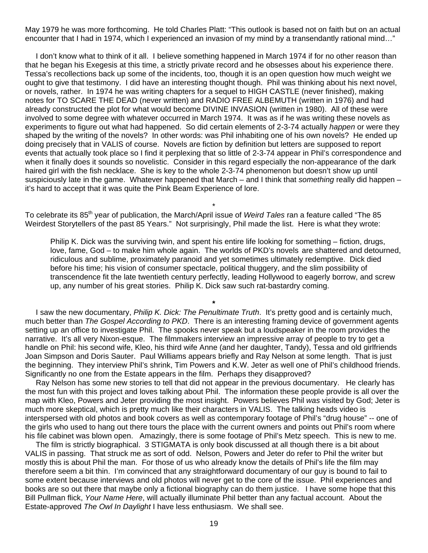May 1979 he was more forthcoming. He told Charles Platt: "This outlook is based not on faith but on an actual encounter that I had in 1974, which I experienced an invasion of my mind by a transendantly rational mind..."

 I don't know what to think of it all. I believe something happened in March 1974 if for no other reason than that he began his Exegesis at this time, a strictly private record and he obsesses about his experience there. Tessa's recollections back up some of the incidents, too, though it is an open question how much weight we ought to give that testimony. I did have an interesting thought though. Phil was thinking about his next novel, or novels, rather. In 1974 he was writing chapters for a sequel to HIGH CASTLE (never finished), making notes for TO SCARE THE DEAD (never written) and RADIO FREE ALBEMUTH (written in 1976) and had already constructed the plot for what would become DIVINE INVASION (written in 1980). All of these were involved to some degree with whatever occurred in March 1974. It was as if he was writing these novels as experiments to figure out what had happened. So did certain elements of 2-3-74 actually *happen* or were they shaped by the writing of the novels? In other words: was Phil inhabiting one of his own novels? He ended up doing precisely that in VALIS of course. Novels are fiction by definition but letters are supposed to report events that actually took place so I find it perplexing that so little of 2-3-74 appear in Phil's correspondence and when it finally does it sounds so novelistic. Consider in this regard especially the non-appearance of the dark haired girl with the fish necklace. She is key to the whole 2-3-74 phenomenon but doesn't show up until suspiciously late in the game. Whatever happened that March – and I think that *something* really did happen – it's hard to accept that it was quite the Pink Beam Experience of lore.

To celebrate its 85<sup>th</sup> year of publication, the March/April issue of *Weird Tales* ran a feature called "The 85 Weirdest Storytellers of the past 85 Years." Not surprisingly, Phil made the list. Here is what they wrote:

\*

 Philip K. Dick was the surviving twin, and spent his entire life looking for something – fiction, drugs, love, fame, God – to make him whole again. The worlds of PKD's novels are shattered and detourned, ridiculous and sublime, proximately paranoid and yet sometimes ultimately redemptive. Dick died before his time; his vision of consumer spectacle, political thuggery, and the slim possibility of transcendence fit the late twentieth century perfectly, leading Hollywood to eagerly borrow, and screw up, any number of his great stories. Philip K. Dick saw such rat-bastardry coming.

 I saw the new documentary, *Philip K. Dick: The Penultimate Truth*. It's pretty good and is certainly much, much better than *The Gospel According to PKD*. There is an interesting framing device of government agents setting up an office to investigate Phil. The spooks never speak but a loudspeaker in the room provides the narrative. It's all very Nixon-esque. The filmmakers interview an impressive array of people to try to get a handle on Phil: his second wife, Kleo, his third wife Anne (and her daughter, Tandy), Tessa and old girlfriends Joan Simpson and Doris Sauter. Paul Williams appears briefly and Ray Nelson at some length. That is just the beginning. They interview Phil's shrink, Tim Powers and K.W. Jeter as well one of Phil's childhood friends. Significantly no one from the Estate appears in the film. Perhaps they disapproved?

**\*** 

 Ray Nelson has some new stories to tell that did not appear in the previous documentary. He clearly has the most fun with this project and loves talking about Phil. The information these people provide is all over the map with Kleo, Powers and Jeter providing the most insight. Powers believes Phil *was* visited by God; Jeter is much more skeptical, which is pretty much like their characters in VALIS. The talking heads video is interspersed with old photos and book covers as well as contemporary footage of Phil's "drug house" -- one of the girls who used to hang out there tours the place with the current owners and points out Phil's room where his file cabinet was blown open. Amazingly, there is some footage of Phil's Metz speech. This is new to me.

 The film is strictly biographical. 3 STIGMATA is only book discussed at all though there is a bit about VALIS in passing. That struck me as sort of odd. Nelson, Powers and Jeter do refer to Phil the writer but mostly this is about Phil the man. For those of us who already know the details of Phil's life the film may therefore seem a bit thin. I'm convinced that any straightforward documentary of our guy is bound to fail to some extent because interviews and old photos will never get to the core of the issue. Phil experiences and books are so out there that maybe only a fictional biography can do them justice. I have some hope that this Bill Pullman flick, *Your Name Here*, will actually illuminate Phil better than any factual account. About the Estate-approved *The Owl In Daylight* I have less enthusiasm. We shall see.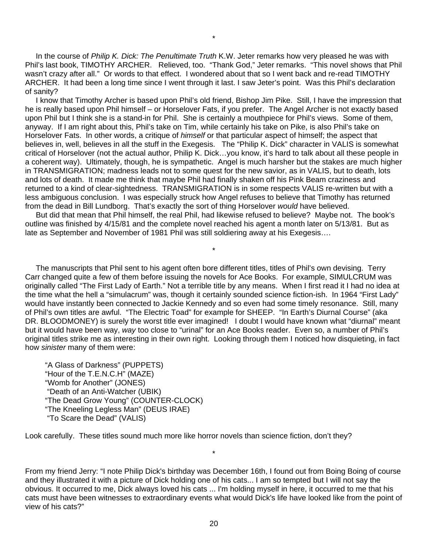In the course of *Philip K. Dick: The Penultimate Truth* K.W. Jeter remarks how very pleased he was with Phil's last book, TIMOTHY ARCHER. Relieved, too. "Thank God," Jeter remarks. "This novel shows that Phil wasn't crazy after all." Or words to that effect. I wondered about that so I went back and re-read TIMOTHY ARCHER. It had been a long time since I went through it last. I saw Jeter's point. Was this Phil's declaration of sanity?

\*

 I know that Timothy Archer is based upon Phil's old friend, Bishop Jim Pike. Still, I have the impression that he is really based upon Phil himself – or Horselover Fats, if you prefer. The Angel Archer is not exactly based upon Phil but I think she is a stand-in for Phil. She is certainly a mouthpiece for Phil's views. Some of them, anyway. If I am right about this, Phil's take on Tim, while certainly his take on Pike, is also Phil's take on Horselover Fats. In other words, a critique of *himself* or that particular aspect of himself; the aspect that believes in, well, believes in all the stuff in the Exegesis. The "Philip K. Dick" character in VALIS is somewhat critical of Horselover (not the actual author, Philip K. Dick…you know, it's hard to talk about all these people in a coherent way). Ultimately, though, he is sympathetic. Angel is much harsher but the stakes are much higher in TRANSMIGRATION; madness leads not to some quest for the new savior, as in VALIS, but to death, lots and lots of death. It made me think that maybe Phil had finally shaken off his Pink Beam craziness and returned to a kind of clear-sightedness. TRANSMIGRATION is in some respects VALIS re-written but with a less ambiguous conclusion. I was especially struck how Angel refuses to believe that Timothy has returned from the dead in Bill Lundborg. That's exactly the sort of thing Horselover *would* have believed.

 But did that mean that Phil himself, the real Phil, had likewise refused to believe? Maybe not. The book's outline was finished by 4/15/81 and the complete novel reached his agent a month later on 5/13/81. But as late as September and November of 1981 Phil was still soldiering away at his Exegesis….

\*

 The manuscripts that Phil sent to his agent often bore different titles, titles of Phil's own devising. Terry Carr changed quite a few of them before issuing the novels for Ace Books. For example, SIMULCRUM was originally called "The First Lady of Earth." Not a terrible title by any means. When I first read it I had no idea at the time what the hell a "simulacrum" was, though it certainly sounded science fiction-ish. In 1964 "First Lady" would have instantly been connected to Jackie Kennedy and so even had some timely resonance. Still, many of Phil's own titles are awful. "The Electric Toad" for example for SHEEP. "In Earth's Diurnal Course" (aka DR. BLOODMONEY) is surely the worst title ever imagined! I doubt I would have known what "diurnal" meant but it would have been way, *way* too close to "urinal" for an Ace Books reader. Even so, a number of Phil's original titles strike me as interesting in their own right. Looking through them I noticed how disquieting, in fact how *sinister* many of them were:

"A Glass of Darkness" (PUPPETS) "Hour of the T.E.N.C.H" (MAZE) "Womb for Another" (JONES) "Death of an Anti-Watcher (UBIK) "The Dead Grow Young" (COUNTER-CLOCK) "The Kneeling Legless Man" (DEUS IRAE) "To Scare the Dead" (VALIS)

Look carefully. These titles sound much more like horror novels than science fiction, don't they?

From my friend Jerry: "I note Philip Dick's birthday was December 16th, I found out from Boing Boing of course and they illustrated it with a picture of Dick holding one of his cats... I am so tempted but I will not say the obvious. It occurred to me, Dick always loved his cats ... I'm holding myself in here, it occurred to me that his cats must have been witnesses to extraordinary events what would Dick's life have looked like from the point of view of his cats?"

\*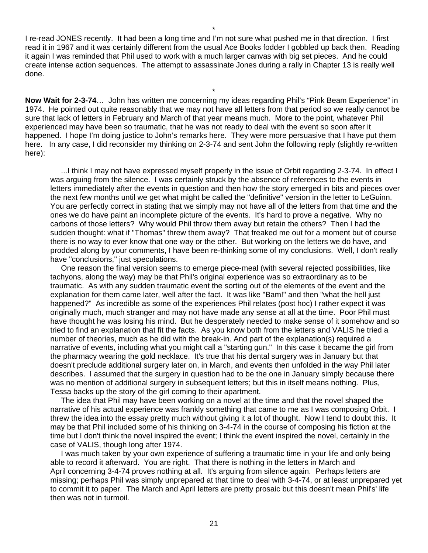I re-read JONES recently. It had been a long time and I'm not sure what pushed me in that direction. I first read it in 1967 and it was certainly different from the usual Ace Books fodder I gobbled up back then. Reading it again I was reminded that Phil used to work with a much larger canvas with big set pieces. And he could create intense action sequences. The attempt to assassinate Jones during a rally in Chapter 13 is really well done.

\*

**Now Wait for 2-3-74**… John has written me concerning my ideas regarding Phil's "Pink Beam Experience" in 1974. He pointed out quite reasonably that we may not have all letters from that period so we really cannot be sure that lack of letters in February and March of that year means much. More to the point, whatever Phil experienced may have been so traumatic, that he was not ready to deal with the event so soon after it happened. I hope I'm doing justice to John's remarks here. They were more persuasive that I have put them here. In any case, I did reconsider my thinking on 2-3-74 and sent John the following reply (slightly re-written here):

 ...I think I may not have expressed myself properly in the issue of Orbit regarding 2-3-74. In effect I was arguing from the silence. I was certainly struck by the absence of references to the events in letters immediately after the events in question and then how the story emerged in bits and pieces over the next few months until we get what might be called the "definitive" version in the letter to LeGuinn. You are perfectly correct in stating that we simply may not have all of the letters from that time and the ones we do have paint an incomplete picture of the events. It's hard to prove a negative. Why no carbons of those letters? Why would Phil throw them away but retain the others? Then I had the sudden thought: what if "Thomas" threw them away? That freaked me out for a moment but of course there is no way to ever know that one way or the other. But working on the letters we do have, and prodded along by your comments, I have been re-thinking some of my conclusions. Well, I don't really have "conclusions," just speculations.

 One reason the final version seems to emerge piece-meal (with several rejected possibilities, like tachyons, along the way) may be that Phil's original experience was so extraordinary as to be traumatic. As with any sudden traumatic event the sorting out of the elements of the event and the explanation for them came later, well after the fact. It was like "Bam!" and then "what the hell just happened?" As incredible as some of the experiences Phil relates (post hoc) I rather expect it was originally much, much stranger and may not have made any sense at all at the time. Poor Phil must have thought he was losing his mind. But he desperately needed to make sense of it somehow and so tried to find an explanation that fit the facts. As you know both from the letters and VALIS he tried a number of theories, much as he did with the break-in. And part of the explanation(s) required a narrative of events, including what you might call a "starting gun." In this case it became the girl from the pharmacy wearing the gold necklace. It's true that his dental surgery was in January but that doesn't preclude additional surgery later on, in March, and events then unfolded in the way Phil later describes. I assumed that the surgery in question had to be the one in January simply because there was no mention of additional surgery in subsequent letters; but this in itself means nothing. Plus, Tessa backs up the story of the girl coming to their apartment.

 The idea that Phil may have been working on a novel at the time and that the novel shaped the narrative of his actual experience was frankly something that came to me as I was composing Orbit. I threw the idea into the essay pretty much without giving it a lot of thought. Now I tend to doubt this. It may be that Phil included some of his thinking on 3-4-74 in the course of composing his fiction at the time but I don't think the novel inspired the event; I think the event inspired the novel, certainly in the case of VALIS, though long after 1974.

 I was much taken by your own experience of suffering a traumatic time in your life and only being able to record it afterward. You are right. That there is nothing in the letters in March and April concerning 3-4-74 proves nothing at all. It's arguing from silence again. Perhaps letters are missing; perhaps Phil was simply unprepared at that time to deal with 3-4-74, or at least unprepared yet to commit it to paper. The March and April letters are pretty prosaic but this doesn't mean Phil's' life then was not in turmoil.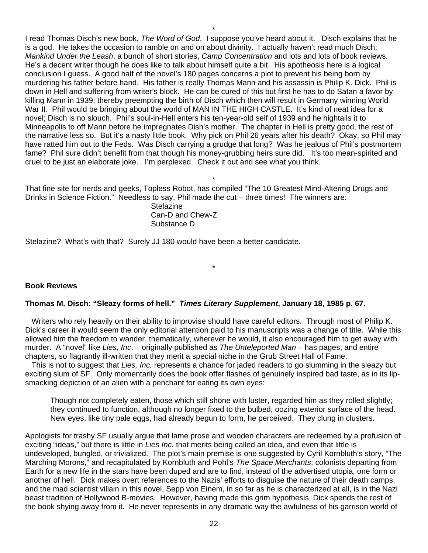I read Thomas Disch's new book, *The Word of God*. I suppose you've heard about it. Disch explains that he is a god. He takes the occasion to ramble on and on about divinity. I actually haven't read much Disch; *Mankind Under the Leash*, a bunch of short stories, *Camp Concentration* and lots and lots of book reviews. He's a decent writer though he does like to talk about himself quite a bit. His apotheosis here is a logical conclusion I guess. A good half of the novel's 180 pages concerns a plot to prevent his being born by murdering his father before hand. His father is really Thomas Mann and his assassin is Philip K. Dick. Phil is down in Hell and suffering from writer's block. He can be cured of this but first he has to do Satan a favor by killing Mann in 1939, thereby preempting the birth of Disch which then will result in Germany winning World War II. Phil would be bringing about the world of MAN IN THE HIGH CASTLE. It's kind of neat idea for a novel; Disch is no slouch. Phil's soul-in-Hell enters his ten-year-old self of 1939 and he hightails it to Minneapolis to off Mann before he impregnates Dish's mother. The chapter in Hell is pretty good, the rest of the narrative less so. But it's a nasty little book. Why pick on Phil 26 years after his death? Okay, so Phil may have ratted him out to the Feds. Was Disch carrying a grudge that long? Was he jealous of Phil's postmortem fame? Phil sure didn't benefit from that though his money-grubbing heirs sure did. It's too mean-spirited and cruel to be just an elaborate joke. I'm perplexed. Check it out and see what you think.

\* That fine site for nerds and geeks, Topless Robot, has compiled "The 10 Greatest Mind-Altering Drugs and Drinks in Science Fiction." Needless to say, Phil made the cut – three times! The winners are:

> **Stelazine** Can-D and Chew-Z Substance D

Stelazine? What's with that? Surely JJ 180 would have been a better candidate.

## **Book Reviews**

#### **Thomas M. Disch: "Sleazy forms of hell."** *Times Literary Supplement***, January 18, 1985 p. 67.**

 Writers who rely heavily on their ability to improvise should have careful editors. Through most of Philip K. Dick's career it would seem the only editorial attention paid to his manuscripts was a change of title. While this allowed him the freedom to wander, thematically, wherever he would, it also encouraged him to get away with murder. A "novel" like *Lies, Inc.* – originally published as *The Unteleported Man* – has pages, and entire chapters, so flagrantly ill-written that they merit a special niche in the Grub Street Hall of Fame.

\*

 This is not to suggest that *Lies, Inc.* represents a chance for jaded readers to go slumming in the sleazy but exciting slum of SF. Only momentarily does the book offer flashes of genuinely inspired bad taste, as in its lipsmacking depiction of an alien with a penchant for eating its own eyes:

 Though not completely eaten, those which still shone with luster, regarded him as they rolled slightly; they continued to function, although no longer fixed to the bulbed, oozing exterior surface of the head. New eyes, like tiny pale eggs, had already begun to form, he perceived. They clung in clusters.

Apologists for trashy SF usually argue that lame prose and wooden characters are redeemed by a profusion of exciting "ideas," but there is little in *Lies Inc.* that merits being called an idea, and even that little is undeveloped, bungled, or trivialized. The plot's main premise is one suggested by Cyril Kornbluth's story, "The Marching Morons," and recapitulated by Kornbluth and Pohl's *The Space Merchants*: colonists departing from Earth for a new life in the stars have been duped and are to find, instead of the advertised utopia, one form or another of hell. Dick makes overt references to the Nazis' efforts to disguise the nature of their death camps, and the mad scientist villain in this novel, Sepp von Einem, in so far as he is characterized at all, is in the Nazi beast tradition of Hollywood B-movies. However, having made this grim hypothesis, Dick spends the rest of the book shying away from it. He never represents in any dramatic way the awfulness of his garrison world of